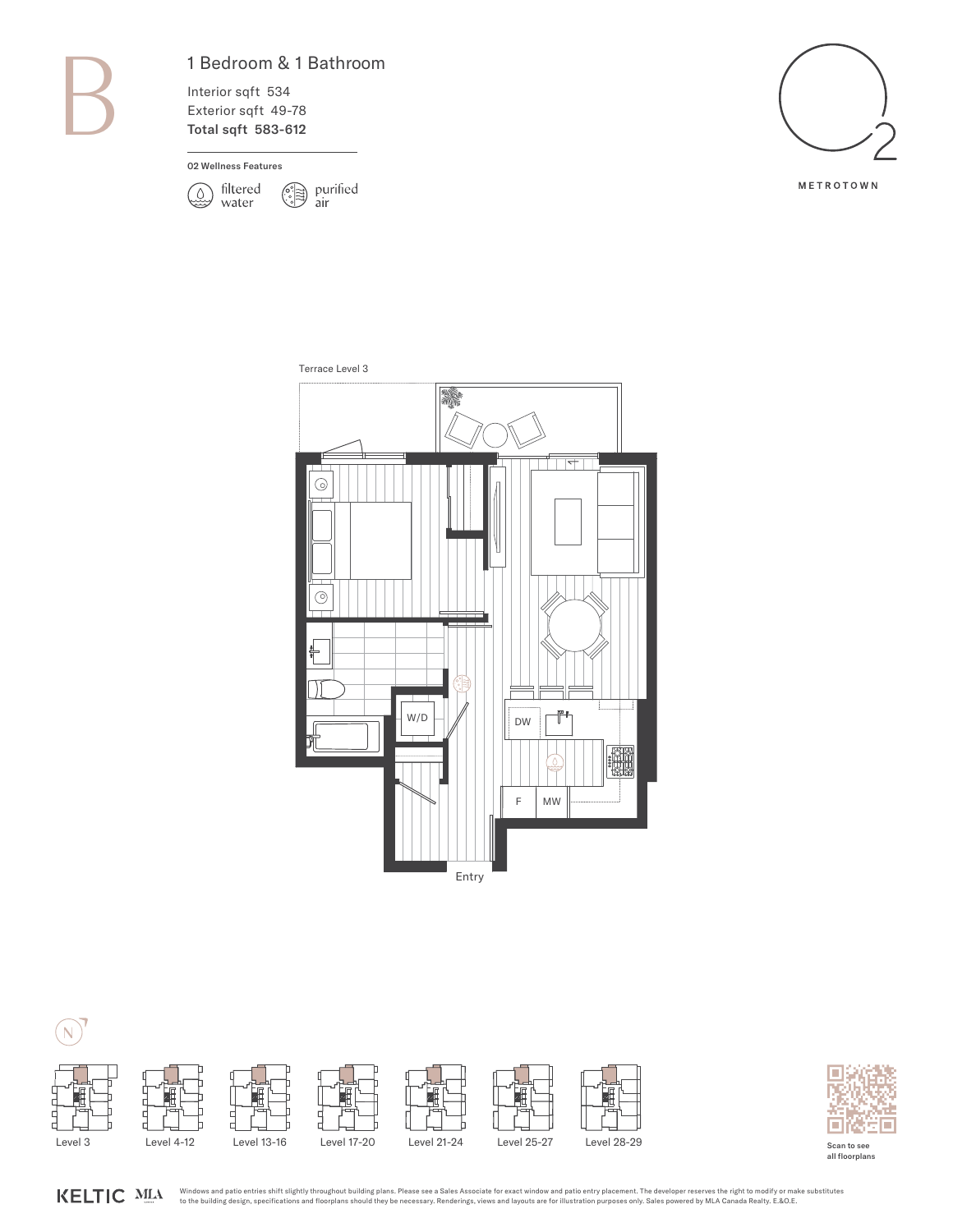

Interior sqft 534 Exterior sqft 49-78 Total sqft 583-612

#### 02 Wellness Features





METROTOWN







Scan to see all floorplans

Windows and patio entries shift slightly throughout building plans. Please see a Sales Associate for exact window and patio entry placement. The developer reserves the right to modify or make substitutes<br>to the building de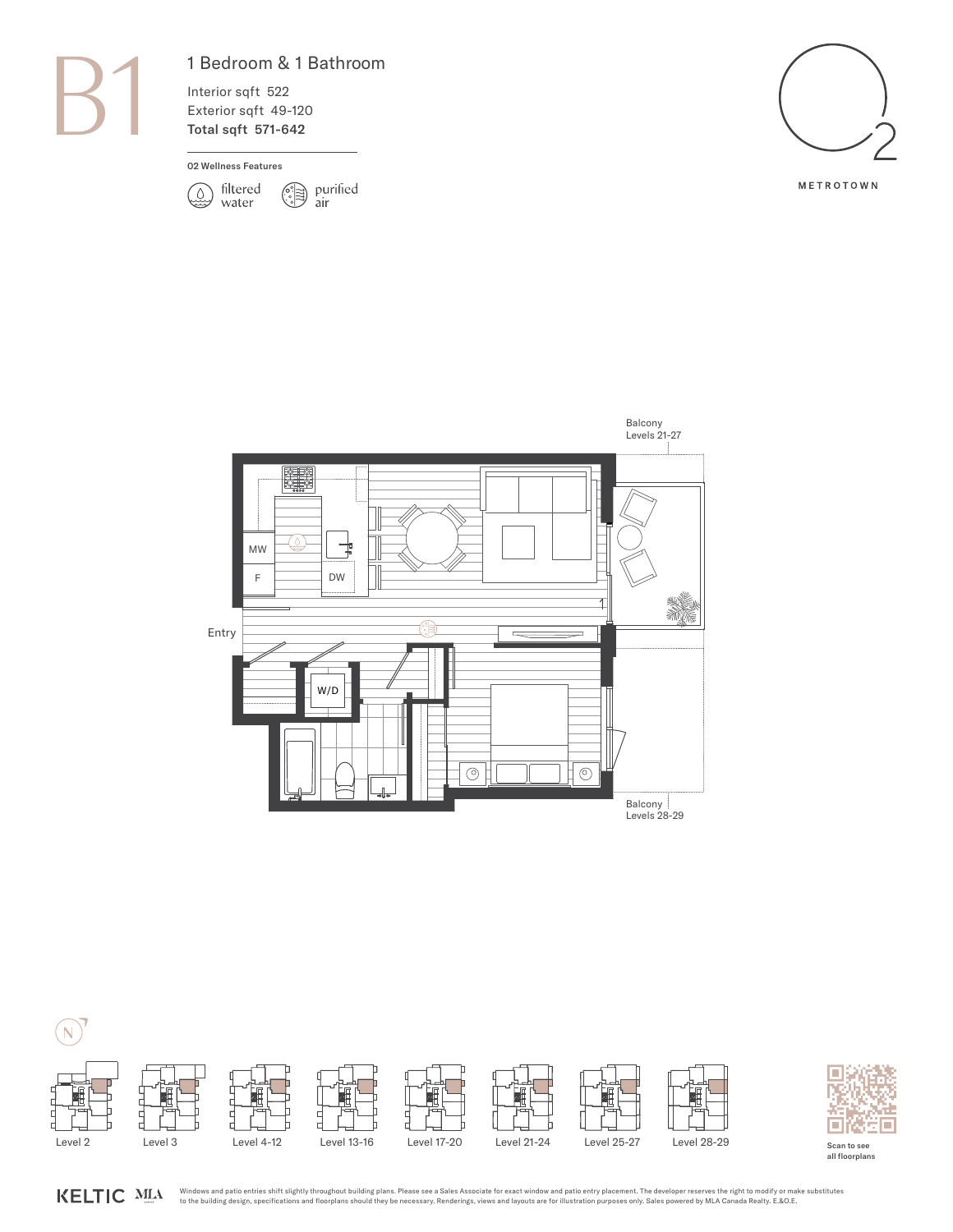

Interior sqft 522 Exterior sqft 49-120 Total sqft 571-642

### 02 Wellness Features











KELTIC MLA Windows and patio entries shift slightly throughout building plans. Please see a Sales Associate for exact window and patio entry placement. The developer reserves the right to modify or make substitutes<br>to the building de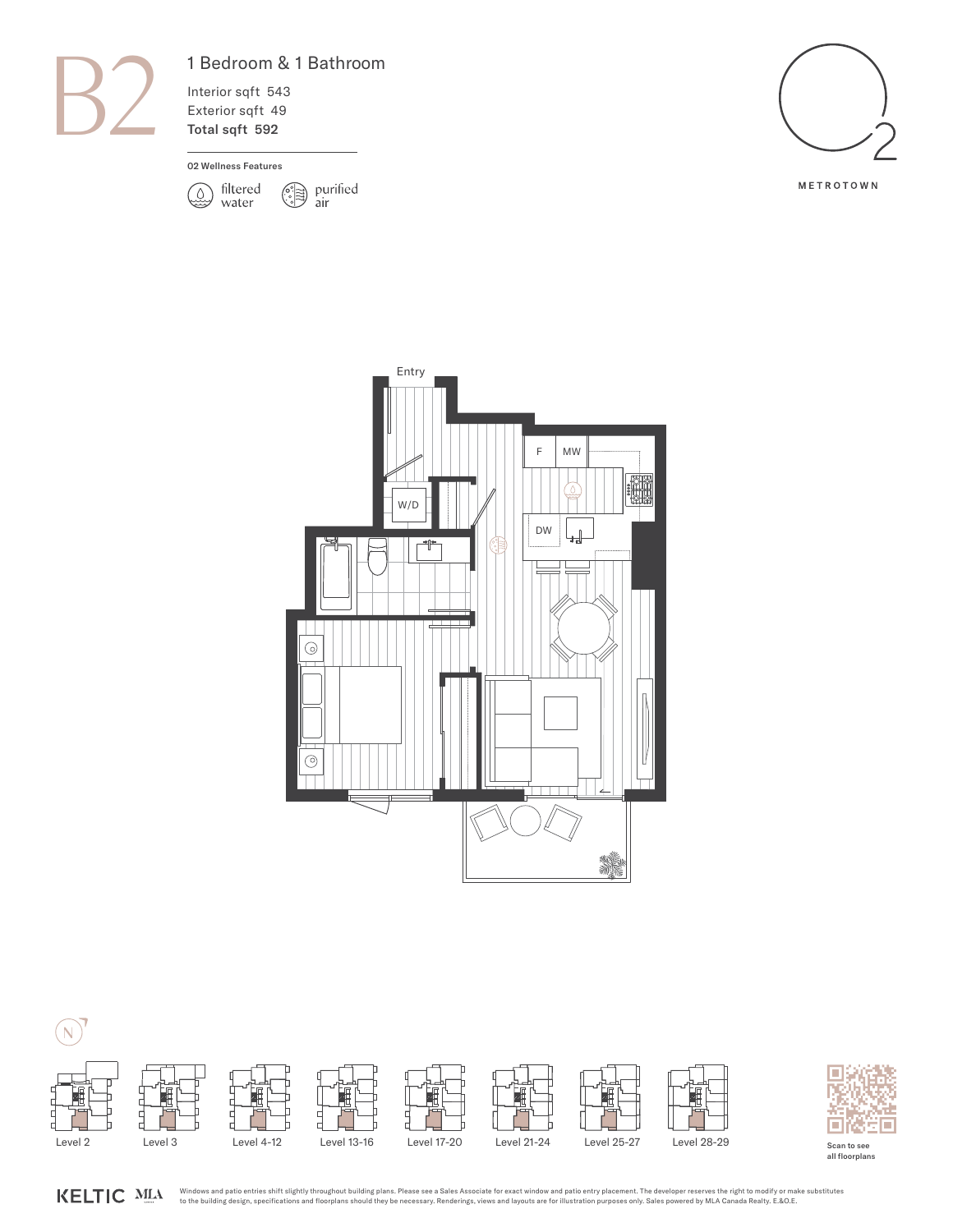

Interior sqft 543 Exterior sqft 49 Total sqft 592

#### 02 Wellness Features











Windows and patio entries shift slightly throughout building plans. Please see a Sales Associate for exact window and patio entry placement. The developer reserves the right to modify or make substitutes<br>to the building de